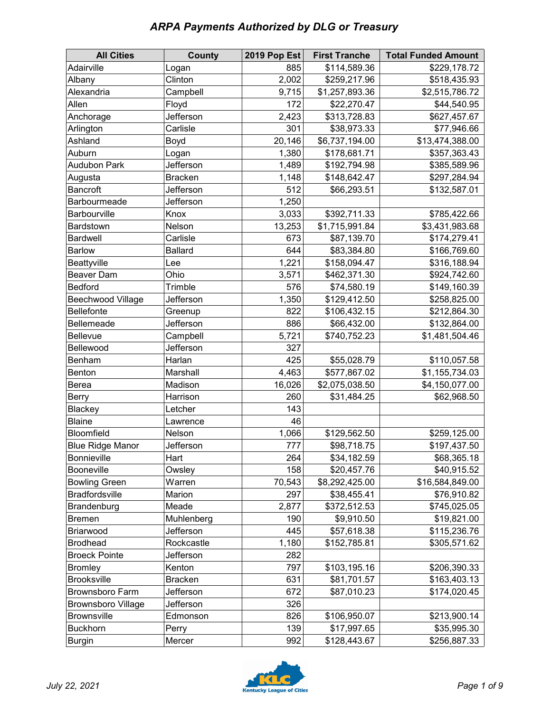| <b>ARPA Payments Authorized by DLG or Treasury</b> |  |  |  |
|----------------------------------------------------|--|--|--|
|----------------------------------------------------|--|--|--|

| <b>All Cities</b>         | <b>County</b>  | 2019 Pop Est | <b>First Tranche</b> | <b>Total Funded Amount</b> |
|---------------------------|----------------|--------------|----------------------|----------------------------|
| Adairville                | Logan          | 885          | \$114,589.36         | \$229,178.72               |
| Albany                    | Clinton        | 2,002        | \$259,217.96         | \$518,435.93               |
| Alexandria                | Campbell       | 9,715        | \$1,257,893.36       | \$2,515,786.72             |
| Allen                     | Floyd          | 172          | \$22,270.47          | \$44,540.95                |
| Anchorage                 | Jefferson      | 2,423        | \$313,728.83         | \$627,457.67               |
| Arlington                 | Carlisle       | 301          | \$38,973.33          | \$77,946.66                |
| Ashland                   | Boyd           | 20,146       | \$6,737,194.00       | \$13,474,388.00            |
| Auburn                    | Logan          | 1,380        | \$178,681.71         | \$357,363.43               |
| <b>Audubon Park</b>       | Jefferson      | 1,489        | \$192,794.98         | \$385,589.96               |
| Augusta                   | <b>Bracken</b> | 1,148        | \$148,642.47         | \$297,284.94               |
| Bancroft                  | Jefferson      | 512          | \$66,293.51          | \$132,587.01               |
| Barbourmeade              | Jefferson      | 1,250        |                      |                            |
| Barbourville              | Knox           | 3,033        | \$392,711.33         | \$785,422.66               |
| Bardstown                 | Nelson         | 13,253       | \$1,715,991.84       | \$3,431,983.68             |
| <b>Bardwell</b>           | Carlisle       | 673          | \$87,139.70          | \$174,279.41               |
| <b>Barlow</b>             | <b>Ballard</b> | 644          | \$83,384.80          | \$166,769.60               |
| Beattyville               | Lee            | 1,221        | \$158,094.47         | \$316,188.94               |
| <b>Beaver Dam</b>         | Ohio           | 3,571        | \$462,371.30         | \$924,742.60               |
| <b>Bedford</b>            | Trimble        | 576          | \$74,580.19          | \$149,160.39               |
| <b>Beechwood Village</b>  | Jefferson      | 1,350        | \$129,412.50         | \$258,825.00               |
| Bellefonte                | Greenup        | 822          | \$106,432.15         | \$212,864.30               |
| Bellemeade                | Jefferson      | 886          | \$66,432.00          | \$132,864.00               |
| Bellevue                  | Campbell       | 5,721        | \$740,752.23         | \$1,481,504.46             |
| Bellewood                 | Jefferson      | 327          |                      |                            |
| Benham                    | Harlan         | 425          | \$55,028.79          | \$110,057.58               |
| Benton                    | Marshall       | 4,463        | \$577,867.02         | \$1,155,734.03             |
| Berea                     | Madison        | 16,026       | \$2,075,038.50       | \$4,150,077.00             |
| Berry                     | Harrison       | 260          | \$31,484.25          | \$62,968.50                |
| Blackey                   | Letcher        | 143          |                      |                            |
| <b>Blaine</b>             | Lawrence       | 46           |                      |                            |
| Bloomfield                | Nelson         | 1,066        | \$129,562.50         | \$259,125.00               |
| <b>Blue Ridge Manor</b>   | Jefferson      | 777          | \$98,718.75          | \$197,437.50               |
| <b>Bonnieville</b>        | Hart           | 264          | \$34,182.59          | \$68,365.18                |
| Booneville                | Owsley         | 158          | \$20,457.76          | \$40,915.52                |
| <b>Bowling Green</b>      | Warren         | 70,543       | \$8,292,425.00       | \$16,584,849.00            |
| <b>Bradfordsville</b>     | Marion         | 297          | \$38,455.41          | \$76,910.82                |
| Brandenburg               | Meade          | 2,877        | \$372,512.53         | \$745,025.05               |
| <b>Bremen</b>             | Muhlenberg     | 190          | \$9,910.50           | \$19,821.00                |
| Briarwood                 | Jefferson      | 445          | \$57,618.38          | \$115,236.76               |
| <b>Brodhead</b>           | Rockcastle     | 1,180        | \$152,785.81         | \$305,571.62               |
| <b>Broeck Pointe</b>      | Jefferson      | 282          |                      |                            |
| <b>Bromley</b>            | Kenton         | 797          | \$103,195.16         | \$206,390.33               |
| <b>Brooksville</b>        | <b>Bracken</b> | 631          | \$81,701.57          | \$163,403.13               |
| <b>Brownsboro Farm</b>    | Jefferson      | 672          | \$87,010.23          | \$174,020.45               |
| <b>Brownsboro Village</b> | Jefferson      | 326          |                      |                            |
| <b>Brownsville</b>        | Edmonson       | 826          | \$106,950.07         | \$213,900.14               |
| <b>Buckhorn</b>           | Perry          | 139          | \$17,997.65          | \$35,995.30                |
| <b>Burgin</b>             | Mercer         | 992          | \$128,443.67         | \$256,887.33               |

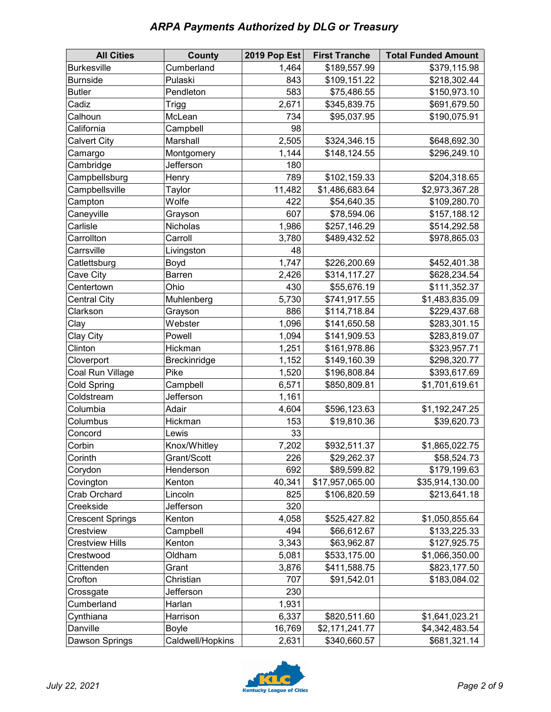| <b>ARPA Payments Authorized by DLG or Treasury</b> |  |
|----------------------------------------------------|--|
|----------------------------------------------------|--|

| <b>All Cities</b>       | <b>County</b>    | 2019 Pop Est | <b>First Tranche</b> | <b>Total Funded Amount</b> |
|-------------------------|------------------|--------------|----------------------|----------------------------|
| <b>Burkesville</b>      | Cumberland       | 1,464        | \$189,557.99         | \$379,115.98               |
| <b>Burnside</b>         | Pulaski          | 843          | \$109,151.22         | \$218,302.44               |
| <b>Butler</b>           | Pendleton        | 583          | \$75,486.55          | \$150,973.10               |
| Cadiz                   | <b>Trigg</b>     | 2,671        | \$345,839.75         | \$691,679.50               |
| Calhoun                 | McLean           | 734          | \$95,037.95          | \$190,075.91               |
| California              | Campbell         | 98           |                      |                            |
| <b>Calvert City</b>     | Marshall         | 2,505        | \$324,346.15         | \$648,692.30               |
| Camargo                 | Montgomery       | 1,144        | \$148,124.55         | \$296,249.10               |
| Cambridge               | Jefferson        | 180          |                      |                            |
| Campbellsburg           | Henry            | 789          | \$102,159.33         | \$204,318.65               |
| Campbellsville          | Taylor           | 11,482       | \$1,486,683.64       | \$2,973,367.28             |
| Campton                 | Wolfe            | 422          | \$54,640.35          | \$109,280.70               |
| Caneyville              | Grayson          | 607          | \$78,594.06          | \$157,188.12               |
| Carlisle                | Nicholas         | 1,986        | \$257,146.29         | \$514,292.58               |
| Carrollton              | Carroll          | 3,780        | \$489,432.52         | \$978,865.03               |
| Carrsville              | Livingston       | 48           |                      |                            |
| Catlettsburg            | Boyd             | 1,747        | \$226,200.69         | \$452,401.38               |
| Cave City               | Barren           | 2,426        | \$314,117.27         | \$628,234.54               |
| Centertown              | Ohio             | 430          | \$55,676.19          | \$111,352.37               |
| <b>Central City</b>     | Muhlenberg       | 5,730        | \$741,917.55         | \$1,483,835.09             |
| Clarkson                | Grayson          | 886          | \$114,718.84         | \$229,437.68               |
| Clay                    | Webster          | 1,096        | \$141,650.58         | \$283,301.15               |
| Clay City               | Powell           | 1,094        | \$141,909.53         | \$283,819.07               |
| Clinton                 | Hickman          | 1,251        | \$161,978.86         | \$323,957.71               |
| Cloverport              | Breckinridge     | 1,152        | \$149,160.39         | \$298,320.77               |
| Coal Run Village        | Pike             | 1,520        | \$196,808.84         | \$393,617.69               |
| Cold Spring             | Campbell         | 6,571        | \$850,809.81         | \$1,701,619.61             |
| Coldstream              | Jefferson        | 1,161        |                      |                            |
| Columbia                | Adair            | 4,604        | \$596,123.63         | \$1,192,247.25             |
| Columbus                | Hickman          | 153          | \$19,810.36          | \$39,620.73                |
| Concord                 | Lewis            | 33           |                      |                            |
| Corbin                  | Knox/Whitley     | 7,202        | \$932,511.37         | \$1,865,022.75             |
| Corinth                 | Grant/Scott      | 226          | \$29,262.37          | \$58,524.73                |
| Corydon                 | Henderson        | 692          | \$89,599.82          | \$179,199.63               |
| Covington               | Kenton           | 40,341       | \$17,957,065.00      | \$35,914,130.00            |
| Crab Orchard            | Lincoln          | 825          | \$106,820.59         | \$213,641.18               |
| Creekside               | Jefferson        | 320          |                      |                            |
| <b>Crescent Springs</b> | Kenton           | 4,058        | \$525,427.82         | \$1,050,855.64             |
| Crestview               | Campbell         | 494          | \$66,612.67          | \$133,225.33               |
| <b>Crestview Hills</b>  | Kenton           | 3,343        | \$63,962.87          | \$127,925.75               |
| Crestwood               | Oldham           | 5,081        | \$533,175.00         | \$1,066,350.00             |
| Crittenden              | Grant            | 3,876        | \$411,588.75         | \$823,177.50               |
| Crofton                 | Christian        | 707          | \$91,542.01          | \$183,084.02               |
| Crossgate               | Jefferson        | 230          |                      |                            |
| Cumberland              | Harlan           | 1,931        |                      |                            |
| Cynthiana               | Harrison         | 6,337        | \$820,511.60         | \$1,641,023.21             |
| Danville                | <b>Boyle</b>     | 16,769       | \$2,171,241.77       | \$4,342,483.54             |
| Dawson Springs          | Caldwell/Hopkins | 2,631        | \$340,660.57         | \$681,321.14               |

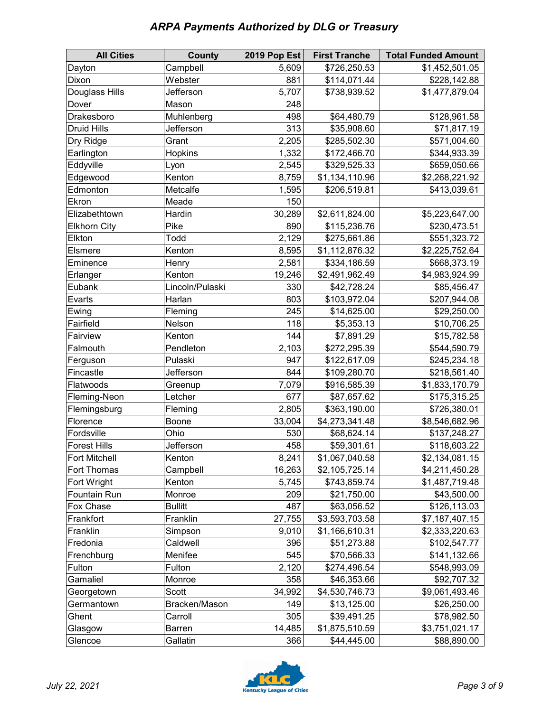| <b>ARPA Payments Authorized by DLG or Treasury</b> |  |
|----------------------------------------------------|--|
|----------------------------------------------------|--|

| <b>All Cities</b>   | <b>County</b>   | 2019 Pop Est | <b>First Tranche</b> | <b>Total Funded Amount</b> |
|---------------------|-----------------|--------------|----------------------|----------------------------|
| Dayton              | Campbell        | 5,609        | \$726,250.53         | \$1,452,501.05             |
| Dixon               | Webster         | 881          | \$114,071.44         | \$228,142.88               |
| Douglass Hills      | Jefferson       | 5,707        | \$738,939.52         | \$1,477,879.04             |
| Dover               | Mason           | 248          |                      |                            |
| Drakesboro          | Muhlenberg      | 498          | \$64,480.79          | \$128,961.58               |
| <b>Druid Hills</b>  | Jefferson       | 313          | \$35,908.60          | \$71,817.19                |
| Dry Ridge           | Grant           | 2,205        | \$285,502.30         | \$571,004.60               |
| Earlington          | Hopkins         | 1,332        | \$172,466.70         | \$344,933.39               |
| Eddyville           | Lyon            | 2,545        | \$329,525.33         | \$659,050.66               |
| Edgewood            | Kenton          | 8,759        | \$1,134,110.96       | \$2,268,221.92             |
| Edmonton            | Metcalfe        | 1,595        | \$206,519.81         | \$413,039.61               |
| Ekron               | Meade           | 150          |                      |                            |
| Elizabethtown       | Hardin          | 30,289       | \$2,611,824.00       | \$5,223,647.00             |
| <b>Elkhorn City</b> | Pike            | 890          | \$115,236.76         | \$230,473.51               |
| Elkton              | Todd            | 2,129        | \$275,661.86         | \$551,323.72               |
| Elsmere             | Kenton          | 8,595        | \$1,112,876.32       | \$2,225,752.64             |
| Eminence            | Henry           | 2,581        | \$334,186.59         | \$668,373.19               |
| Erlanger            | Kenton          | 19,246       | \$2,491,962.49       | \$4,983,924.99             |
| Eubank              | Lincoln/Pulaski | 330          | \$42,728.24          | \$85,456.47                |
| Evarts              | Harlan          | 803          | \$103,972.04         | \$207,944.08               |
| Ewing               | Fleming         | 245          | \$14,625.00          | \$29,250.00                |
| Fairfield           | Nelson          | 118          | \$5,353.13           | \$10,706.25                |
| Fairview            | Kenton          | 144          | \$7,891.29           | \$15,782.58                |
| Falmouth            | Pendleton       | 2,103        | \$272,295.39         | \$544,590.79               |
| Ferguson            | Pulaski         | 947          | \$122,617.09         | \$245,234.18               |
| Fincastle           | Jefferson       | 844          | \$109,280.70         | \$218,561.40               |
| Flatwoods           | Greenup         | 7,079        | \$916,585.39         | \$1,833,170.79             |
| Fleming-Neon        | Letcher         | 677          | \$87,657.62          | \$175,315.25               |
| Flemingsburg        | Fleming         | 2,805        | \$363,190.00         | \$726,380.01               |
| Florence            | Boone           | 33,004       | \$4,273,341.48       | \$8,546,682.96             |
| Fordsville          | Ohio            | 530          | \$68,624.14          | \$137,248.27               |
| <b>Forest Hills</b> | Jefferson       | 458          | \$59,301.61          | \$118,603.22               |
| Fort Mitchell       | Kenton          | 8,241        | \$1,067,040.58       | \$2,134,081.15             |
| Fort Thomas         | Campbell        | 16,263       | \$2,105,725.14       | \$4,211,450.28             |
| Fort Wright         | Kenton          | 5,745        | \$743,859.74         | \$1,487,719.48             |
| Fountain Run        | Monroe          | 209          | \$21,750.00          | \$43,500.00                |
| Fox Chase           | <b>Bullitt</b>  | 487          | \$63,056.52          | \$126,113.03               |
| Frankfort           | Franklin        | 27,755       | \$3,593,703.58       | \$7,187,407.15             |
| Franklin            | Simpson         | 9,010        | \$1,166,610.31       | \$2,333,220.63             |
| Fredonia            | Caldwell        | 396          | \$51,273.88          | \$102,547.77               |
| Frenchburg          | Menifee         | 545          | \$70,566.33          | \$141,132.66               |
| Fulton              | Fulton          | 2,120        | \$274,496.54         | \$548,993.09               |
| Gamaliel            | Monroe          | 358          | \$46,353.66          | \$92,707.32                |
| Georgetown          | Scott           | 34,992       | \$4,530,746.73       | \$9,061,493.46             |
| Germantown          | Bracken/Mason   | 149          | \$13,125.00          | \$26,250.00                |
| Ghent               | Carroll         | 305          | \$39,491.25          | \$78,982.50                |
| Glasgow             | <b>Barren</b>   | 14,485       | \$1,875,510.59       | \$3,751,021.17             |
| Glencoe             | Gallatin        | 366          | \$44,445.00          | \$88,890.00                |

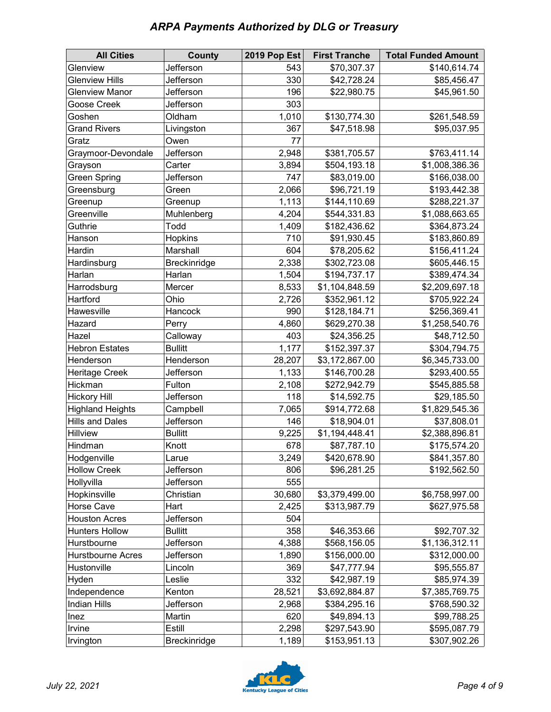## *ARPA Payments Authorized by DLG or Treasury*

| <b>All Cities</b>                       | County              | 2019 Pop Est | <b>First Tranche</b>         | <b>Total Funded Amount</b> |
|-----------------------------------------|---------------------|--------------|------------------------------|----------------------------|
| Glenview                                | Jefferson           | 543          | \$70,307.37                  | \$140,614.74               |
| <b>Glenview Hills</b>                   | Jefferson           | 330          | \$42,728.24                  | \$85,456.47                |
| <b>Glenview Manor</b>                   | Jefferson           | 196          | \$22,980.75                  | \$45,961.50                |
| Goose Creek                             | Jefferson           | 303          |                              |                            |
| Goshen                                  | Oldham              | 1,010        | \$130,774.30                 | \$261,548.59               |
| <b>Grand Rivers</b>                     | Livingston          | 367          | \$47,518.98                  | \$95,037.95                |
| Gratz                                   | Owen                | 77           |                              |                            |
| Graymoor-Devondale                      | Jefferson           | 2,948        | \$381,705.57                 | \$763,411.14               |
| Grayson                                 | Carter              | 3,894        | \$504,193.18                 | \$1,008,386.36             |
| <b>Green Spring</b>                     | Jefferson           | 747          | \$83,019.00                  | \$166,038.00               |
| Greensburg                              | Green               | 2,066        | \$96,721.19                  | \$193,442.38               |
| Greenup                                 | Greenup             | 1,113        | \$144,110.69                 | \$288,221.37               |
| Greenville                              | Muhlenberg          | 4,204        | \$544,331.83                 | \$1,088,663.65             |
| Guthrie                                 | Todd                | 1,409        | \$182,436.62                 | \$364,873.24               |
| Hanson                                  | Hopkins             | 710          | \$91,930.45                  | \$183,860.89               |
| Hardin                                  | Marshall            | 604          | \$78,205.62                  | \$156,411.24               |
| Hardinsburg                             | Breckinridge        | 2,338        | \$302,723.08                 | \$605,446.15               |
| Harlan                                  | Harlan              | 1,504        | \$194,737.17                 | \$389,474.34               |
| Harrodsburg                             | Mercer              | 8,533        | \$1,104,848.59               | \$2,209,697.18             |
| Hartford                                | Ohio                | 2,726        | \$352,961.12                 | \$705,922.24               |
| Hawesville                              | Hancock             | 990          | \$128,184.71                 | \$256,369.41               |
| Hazard                                  | Perry               | 4,860        | \$629,270.38                 | \$1,258,540.76             |
| Hazel                                   | Calloway            | 403          | \$24,356.25                  | \$48,712.50                |
| <b>Hebron Estates</b>                   | <b>Bullitt</b>      | 1,177        | \$152,397.37                 | \$304,794.75               |
| Henderson                               | Henderson           | 28,207       | \$3,172,867.00               | \$6,345,733.00             |
| <b>Heritage Creek</b>                   | Jefferson           | 1,133        | \$146,700.28                 | \$293,400.55               |
| Hickman                                 | Fulton              | 2,108        | \$272,942.79                 | \$545,885.58               |
| <b>Hickory Hill</b>                     | Jefferson           | 118          | \$14,592.75                  | \$29,185.50                |
| <b>Highland Heights</b>                 | Campbell            | 7,065        | \$914,772.68                 | \$1,829,545.36             |
| <b>Hills and Dales</b>                  | Jefferson           | 146          | \$18,904.01                  | \$37,808.01                |
| <b>Hillview</b>                         | <b>Bullitt</b>      | 9,225        | \$1,194,448.41               | \$2,388,896.81             |
| Hindman                                 | Knott               | 678          | \$87,787.10                  | \$175,574.20               |
| Hodgenville                             | Larue               | 3,249        | \$420,678.90                 | \$841,357.80               |
| <b>Hollow Creek</b>                     | Jefferson           | 806          | \$96,281.25                  | \$192,562.50               |
| Hollyvilla                              | Jefferson           | 555          |                              |                            |
| Hopkinsville                            | Christian           | 30,680       | \$3,379,499.00               | \$6,758,997.00             |
| Horse Cave                              | Hart                | 2,425        | \$313,987.79                 | \$627,975.58               |
| <b>Houston Acres</b>                    | Jefferson           | 504          |                              |                            |
| <b>Hunters Hollow</b>                   | <b>Bullitt</b>      | 358          | \$46,353.66                  | \$92,707.32                |
| Hurstbourne                             | Jefferson           | 4,388        | \$568,156.05                 | \$1,136,312.11             |
| <b>Hurstbourne Acres</b><br>Hustonville | Jefferson           | 1,890        | \$156,000.00                 | \$312,000.00               |
|                                         | Lincoln             | 369          | \$47,777.94                  | \$95,555.87                |
| Hyden                                   | Leslie              | 332          | \$42,987.19                  | \$85,974.39                |
| Independence                            | Kenton<br>Jefferson | 28,521       | \$3,692,884.87               | \$7,385,769.75             |
| <b>Indian Hills</b>                     |                     | 2,968        | \$384,295.16                 | \$768,590.32               |
| Inez                                    | Martin<br>Estill    | 620          | \$49,894.13                  | \$99,788.25                |
| Irvine                                  |                     | 2,298        | \$297,543.90<br>\$153,951.13 | \$595,087.79               |
| Irvington                               | Breckinridge        | 1,189        |                              | \$307,902.26               |

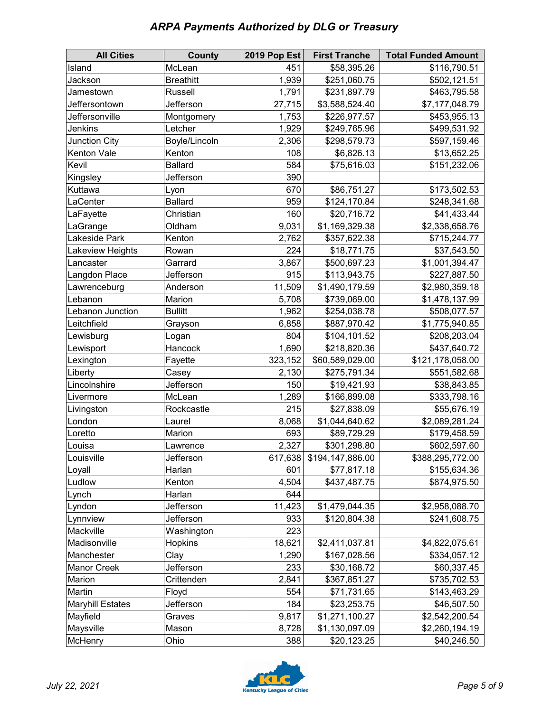## *ARPA Payments Authorized by DLG or Treasury*

| <b>All Cities</b>       | <b>County</b>    | 2019 Pop Est | <b>First Tranche</b> | <b>Total Funded Amount</b> |
|-------------------------|------------------|--------------|----------------------|----------------------------|
| Island                  | McLean           | 451          | \$58,395.26          | \$116,790.51               |
| Jackson                 | <b>Breathitt</b> | 1,939        | \$251,060.75         | \$502,121.51               |
| Jamestown               | Russell          | 1,791        | \$231,897.79         | \$463,795.58               |
| Jeffersontown           | Jefferson        | 27,715       | \$3,588,524.40       | \$7,177,048.79             |
| Jeffersonville          | Montgomery       | 1,753        | \$226,977.57         | \$453,955.13               |
| Jenkins                 | Letcher          | 1,929        | \$249,765.96         | \$499,531.92               |
| Junction City           | Boyle/Lincoln    | 2,306        | \$298,579.73         | \$597,159.46               |
| Kenton Vale             | Kenton           | 108          | \$6,826.13           | \$13,652.25                |
| Kevil                   | <b>Ballard</b>   | 584          | \$75,616.03          | \$151,232.06               |
| Kingsley                | Jefferson        | 390          |                      |                            |
| Kuttawa                 | Lyon             | 670          | \$86,751.27          | \$173,502.53               |
| LaCenter                | <b>Ballard</b>   | 959          | \$124,170.84         | \$248,341.68               |
| LaFayette               | Christian        | 160          | \$20,716.72          | \$41,433.44                |
| LaGrange                | Oldham           | 9,031        | \$1,169,329.38       | \$2,338,658.76             |
| Lakeside Park           | Kenton           | 2,762        | \$357,622.38         | \$715,244.77               |
| Lakeview Heights        | Rowan            | 224          | \$18,771.75          | \$37,543.50                |
| Lancaster               | Garrard          | 3,867        | \$500,697.23         | \$1,001,394.47             |
| Langdon Place           | Jefferson        | 915          | \$113,943.75         | \$227,887.50               |
| Lawrenceburg            | Anderson         | 11,509       | \$1,490,179.59       | \$2,980,359.18             |
| Lebanon                 | Marion           | 5,708        | \$739,069.00         | \$1,478,137.99             |
| Lebanon Junction        | <b>Bullitt</b>   | 1,962        | \$254,038.78         | \$508,077.57               |
| Leitchfield             | Grayson          | 6,858        | \$887,970.42         | \$1,775,940.85             |
| Lewisburg               | Logan            | 804          | \$104,101.52         | \$208,203.04               |
| Lewisport               | Hancock          | 1,690        | \$218,820.36         | \$437,640.72               |
| Lexington               | Fayette          | 323,152      | \$60,589,029.00      | \$121,178,058.00           |
| Liberty                 | Casey            | 2,130        | \$275,791.34         | \$551,582.68               |
| Lincolnshire            | Jefferson        | 150          | \$19,421.93          | \$38,843.85                |
| Livermore               | McLean           | 1,289        | \$166,899.08         | \$333,798.16               |
| Livingston              | Rockcastle       | 215          | \$27,838.09          | \$55,676.19                |
| London                  | Laurel           | 8,068        | \$1,044,640.62       | \$2,089,281.24             |
| Loretto                 | Marion           | 693          | \$89,729.29          | \$179,458.59               |
| Louisa                  | Lawrence         | 2,327        | \$301,298.80         | \$602,597.60               |
| Louisville              | Jefferson        | 617,638      | \$194,147,886.00     | \$388,295,772.00           |
| Loyall                  | Harlan           | 601          | \$77,817.18          | \$155,634.36               |
| Ludlow                  | Kenton           | 4,504        | \$437,487.75         | \$874,975.50               |
| Lynch                   | Harlan           | 644          |                      |                            |
| Lyndon                  | Jefferson        | 11,423       | \$1,479,044.35       | \$2,958,088.70             |
| Lynnview                | Jefferson        | 933          | \$120,804.38         | \$241,608.75               |
| Mackville               | Washington       | 223          |                      |                            |
| Madisonville            | Hopkins          | 18,621       | \$2,411,037.81       | \$4,822,075.61             |
| Manchester              | Clay             | 1,290        | \$167,028.56         | \$334,057.12               |
| <b>Manor Creek</b>      | Jefferson        | 233          | \$30,168.72          | \$60,337.45                |
| Marion                  | Crittenden       | 2,841        | \$367,851.27         | \$735,702.53               |
| Martin                  | Floyd            | 554          | \$71,731.65          | \$143,463.29               |
| <b>Maryhill Estates</b> | Jefferson        | 184          | \$23,253.75          | \$46,507.50                |
| Mayfield                | Graves           | 9,817        | \$1,271,100.27       | \$2,542,200.54             |
| Maysville               | Mason            | 8,728        | \$1,130,097.09       | \$2,260,194.19             |
| McHenry                 | Ohio             | 388          | \$20,123.25          | \$40,246.50                |

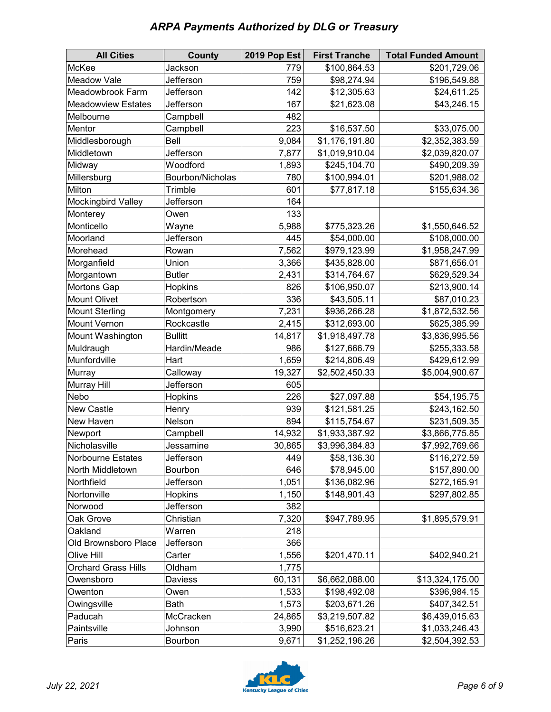| <b>ARPA Payments Authorized by DLG or Treasury</b> |  |  |
|----------------------------------------------------|--|--|
|----------------------------------------------------|--|--|

| <b>All Cities</b>          | <b>County</b>    | 2019 Pop Est | <b>First Tranche</b> | <b>Total Funded Amount</b> |
|----------------------------|------------------|--------------|----------------------|----------------------------|
| McKee                      | Jackson          | 779          | \$100,864.53         | \$201,729.06               |
| Meadow Vale                | Jefferson        | 759          | \$98,274.94          | \$196,549.88               |
| Meadowbrook Farm           | Jefferson        | 142          | \$12,305.63          | \$24,611.25                |
| <b>Meadowview Estates</b>  | Jefferson        | 167          | \$21,623.08          | \$43,246.15                |
| Melbourne                  | Campbell         | 482          |                      |                            |
| Mentor                     | Campbell         | 223          | \$16,537.50          | \$33,075.00                |
| Middlesborough             | Bell             | 9,084        | \$1,176,191.80       | \$2,352,383.59             |
| Middletown                 | Jefferson        | 7,877        | \$1,019,910.04       | \$2,039,820.07             |
| Midway                     | Woodford         | 1,893        | \$245,104.70         | \$490,209.39               |
| Millersburg                | Bourbon/Nicholas | 780          | \$100,994.01         | \$201,988.02               |
| Milton                     | Trimble          | 601          | \$77,817.18          | \$155,634.36               |
| Mockingbird Valley         | Jefferson        | 164          |                      |                            |
| Monterey                   | Owen             | 133          |                      |                            |
| Monticello                 | Wayne            | 5,988        | \$775,323.26         | \$1,550,646.52             |
| Moorland                   | Jefferson        | 445          | \$54,000.00          | \$108,000.00               |
| Morehead                   | Rowan            | 7,562        | \$979,123.99         | \$1,958,247.99             |
| Morganfield                | Union            | 3,366        | \$435,828.00         | \$871,656.01               |
| Morgantown                 | <b>Butler</b>    | 2,431        | \$314,764.67         | \$629,529.34               |
| Mortons Gap                | Hopkins          | 826          | \$106,950.07         | \$213,900.14               |
| <b>Mount Olivet</b>        | Robertson        | 336          | \$43,505.11          | \$87,010.23                |
| <b>Mount Sterling</b>      | Montgomery       | 7,231        | \$936,266.28         | \$1,872,532.56             |
| Mount Vernon               | Rockcastle       | 2,415        | \$312,693.00         | \$625,385.99               |
| Mount Washington           | <b>Bullitt</b>   | 14,817       | \$1,918,497.78       | \$3,836,995.56             |
| Muldraugh                  | Hardin/Meade     | 986          | \$127,666.79         | \$255,333.58               |
| Munfordville               | Hart             | 1,659        | \$214,806.49         | \$429,612.99               |
| Murray                     | Calloway         | 19,327       | \$2,502,450.33       | \$5,004,900.67             |
| Murray Hill                | Jefferson        | 605          |                      |                            |
| Nebo                       | Hopkins          | 226          | \$27,097.88          | \$54,195.75                |
| New Castle                 | Henry            | 939          | \$121,581.25         | \$243,162.50               |
| New Haven                  | Nelson           | 894          | \$115,754.67         | \$231,509.35               |
| Newport                    | Campbell         | 14,932       | \$1,933,387.92       | \$3,866,775.85             |
| Nicholasville              | Jessamine        | 30,865       | \$3,996,384.83       | \$7,992,769.66             |
| Norbourne Estates          | Jefferson        | 449          | \$58,136.30          | \$116,272.59               |
| North Middletown           | Bourbon          | 646          | \$78,945.00          | \$157,890.00               |
| Northfield                 | Jefferson        | 1,051        | \$136,082.96         | \$272,165.91               |
| Nortonville                | Hopkins          | 1,150        | \$148,901.43         | \$297,802.85               |
| Norwood                    | Jefferson        | 382          |                      |                            |
| Oak Grove                  | Christian        | 7,320        | \$947,789.95         | \$1,895,579.91             |
| Oakland                    | Warren           | 218          |                      |                            |
| Old Brownsboro Place       | Jefferson        | 366          |                      |                            |
| Olive Hill                 | Carter           | 1,556        | \$201,470.11         | \$402,940.21               |
| <b>Orchard Grass Hills</b> | Oldham           | 1,775        |                      |                            |
| Owensboro                  | Daviess          | 60,131       | \$6,662,088.00       | \$13,324,175.00            |
| Owenton                    | Owen             | 1,533        | \$198,492.08         | \$396,984.15               |
| Owingsville                | <b>Bath</b>      | 1,573        | \$203,671.26         | \$407,342.51               |
| Paducah                    | McCracken        | 24,865       | \$3,219,507.82       | \$6,439,015.63             |
| Paintsville                | Johnson          | 3,990        | \$516,623.21         | \$1,033,246.43             |
| Paris                      | Bourbon          | 9,671        | \$1,252,196.26       | \$2,504,392.53             |

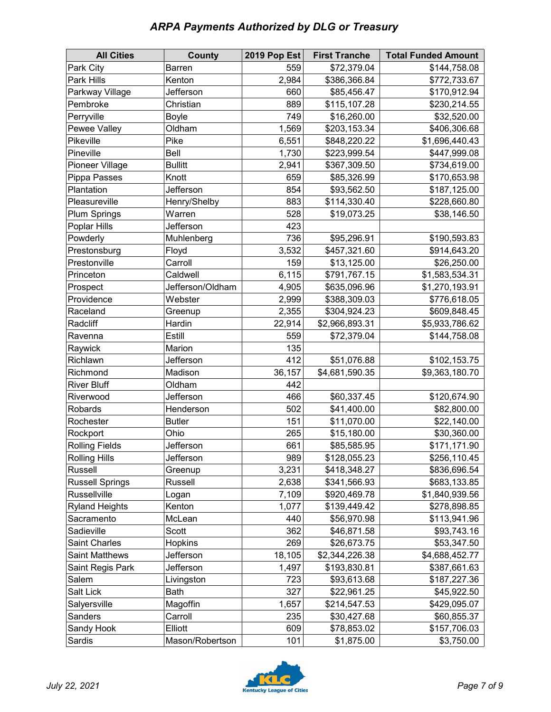|  |  | <b>ARPA Payments Authorized by DLG or Treasury</b> |  |  |
|--|--|----------------------------------------------------|--|--|
|--|--|----------------------------------------------------|--|--|

| <b>All Cities</b>      | <b>County</b>    | <b>2019 Pop Est</b> | <b>First Tranche</b> | <b>Total Funded Amount</b> |
|------------------------|------------------|---------------------|----------------------|----------------------------|
| Park City              | Barren           | 559                 | \$72,379.04          | \$144,758.08               |
| Park Hills             | Kenton           | 2,984               | \$386,366.84         | \$772,733.67               |
| Parkway Village        | Jefferson        | 660                 | \$85,456.47          | \$170,912.94               |
| Pembroke               | Christian        | 889                 | \$115,107.28         | \$230,214.55               |
| Perryville             | <b>Boyle</b>     | 749                 | \$16,260.00          | \$32,520.00                |
| Pewee Valley           | Oldham           | 1,569               | \$203,153.34         | \$406,306.68               |
| Pikeville              | Pike             | 6,551               | \$848,220.22         | \$1,696,440.43             |
| Pineville              | Bell             | 1,730               | \$223,999.54         | \$447,999.08               |
| Pioneer Village        | <b>Bullitt</b>   | 2,941               | \$367,309.50         | \$734,619.00               |
| Pippa Passes           | Knott            | 659                 | \$85,326.99          | \$170,653.98               |
| Plantation             | Jefferson        | 854                 | \$93,562.50          | \$187,125.00               |
| Pleasureville          | Henry/Shelby     | 883                 | \$114,330.40         | \$228,660.80               |
| <b>Plum Springs</b>    | Warren           | 528                 | \$19,073.25          | \$38,146.50                |
| Poplar Hills           | Jefferson        | 423                 |                      |                            |
| Powderly               | Muhlenberg       | 736                 | \$95,296.91          | \$190,593.83               |
| Prestonsburg           | Floyd            | 3,532               | \$457,321.60         | \$914,643.20               |
| Prestonville           | Carroll          | 159                 | \$13,125.00          | \$26,250.00                |
| Princeton              | Caldwell         | 6,115               | \$791,767.15         | \$1,583,534.31             |
| Prospect               | Jefferson/Oldham | 4,905               | \$635,096.96         | \$1,270,193.91             |
| Providence             | Webster          | 2,999               | \$388,309.03         | \$776,618.05               |
| Raceland               | Greenup          | 2,355               | \$304,924.23         | \$609,848.45               |
| Radcliff               | Hardin           | 22,914              | \$2,966,893.31       | \$5,933,786.62             |
| Ravenna                | Estill           | 559                 | \$72,379.04          | \$144,758.08               |
| Raywick                | Marion           | 135                 |                      |                            |
| Richlawn               | Jefferson        | 412                 | \$51,076.88          | \$102,153.75               |
| Richmond               | Madison          | 36,157              | \$4,681,590.35       | \$9,363,180.70             |
| <b>River Bluff</b>     | Oldham           | 442                 |                      |                            |
| Riverwood              | Jefferson        | 466                 | \$60,337.45          | \$120,674.90               |
| Robards                | Henderson        | 502                 | \$41,400.00          | \$82,800.00                |
| Rochester              | <b>Butler</b>    | 151                 | \$11,070.00          | \$22,140.00                |
| Rockport               | Ohio             | 265                 | \$15,180.00          | \$30,360.00                |
| <b>Rolling Fields</b>  | Jefferson        | 661                 | \$85,585.95          | \$171,171.90               |
| <b>Rolling Hills</b>   | Jefferson        | 989                 | \$128,055.23         | \$256,110.45               |
| Russell                | Greenup          | 3,231               | \$418,348.27         | \$836,696.54               |
| <b>Russell Springs</b> | Russell          | 2,638               | \$341,566.93         | \$683,133.85               |
| Russellville           | Logan            | 7,109               | \$920,469.78         | \$1,840,939.56             |
| <b>Ryland Heights</b>  | Kenton           | 1,077               | \$139,449.42         | \$278,898.85               |
| Sacramento             | McLean           | 440                 | \$56,970.98          | \$113,941.96               |
| Sadieville             | Scott            | 362                 | \$46,871.58          | \$93,743.16                |
| Saint Charles          | Hopkins          | 269                 | \$26,673.75          | \$53,347.50                |
| <b>Saint Matthews</b>  | Jefferson        | 18,105              | \$2,344,226.38       | \$4,688,452.77             |
| Saint Regis Park       | Jefferson        | 1,497               | \$193,830.81         | \$387,661.63               |
| Salem                  | Livingston       | 723                 | \$93,613.68          | \$187,227.36               |
| Salt Lick              | <b>Bath</b>      | 327                 | \$22,961.25          | \$45,922.50                |
| Salyersville           | Magoffin         | 1,657               | \$214,547.53         | \$429,095.07               |
| Sanders                | Carroll          | 235                 | \$30,427.68          | \$60,855.37                |
| Sandy Hook             | Elliott          | 609                 | \$78,853.02          | \$157,706.03               |
| Sardis                 | Mason/Robertson  | 101                 | \$1,875.00           | \$3,750.00                 |

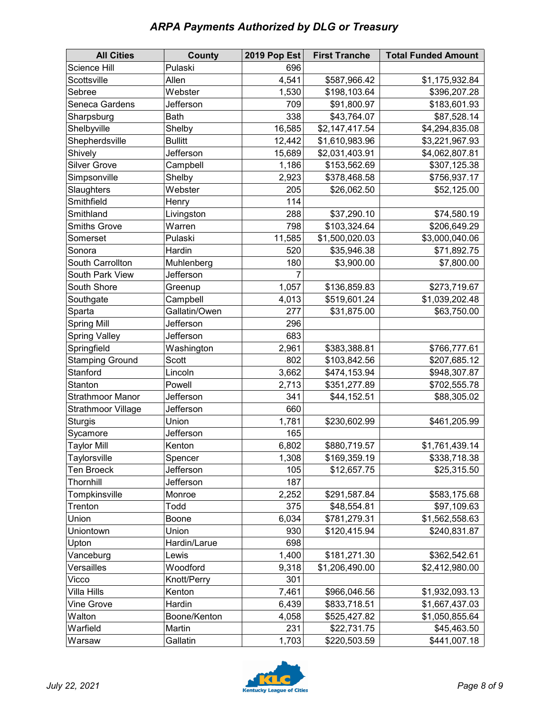|  |  | <b>ARPA Payments Authorized by DLG or Treasury</b> |
|--|--|----------------------------------------------------|
|--|--|----------------------------------------------------|

| <b>All Cities</b>         | <b>County</b>  | 2019 Pop Est | <b>First Tranche</b> | <b>Total Funded Amount</b> |
|---------------------------|----------------|--------------|----------------------|----------------------------|
| Science Hill              | Pulaski        | 696          |                      |                            |
| Scottsville               | Allen          | 4,541        | \$587,966.42         | \$1,175,932.84             |
| Sebree                    | Webster        | 1,530        | \$198,103.64         | \$396,207.28               |
| Seneca Gardens            | Jefferson      | 709          | \$91,800.97          | \$183,601.93               |
| Sharpsburg                | <b>Bath</b>    | 338          | \$43,764.07          | \$87,528.14                |
| Shelbyville               | Shelby         | 16,585       | \$2,147,417.54       | \$4,294,835.08             |
| Shepherdsville            | <b>Bullitt</b> | 12,442       | \$1,610,983.96       | \$3,221,967.93             |
| Shively                   | Jefferson      | 15,689       | \$2,031,403.91       | \$4,062,807.81             |
| <b>Silver Grove</b>       | Campbell       | 1,186        | \$153,562.69         | \$307,125.38               |
| Simpsonville              | Shelby         | 2,923        | \$378,468.58         | \$756,937.17               |
| Slaughters                | Webster        | 205          | \$26,062.50          | \$52,125.00                |
| Smithfield                | Henry          | 114          |                      |                            |
| Smithland                 | Livingston     | 288          | \$37,290.10          | \$74,580.19                |
| <b>Smiths Grove</b>       | Warren         | 798          | \$103,324.64         | \$206,649.29               |
| Somerset                  | Pulaski        | 11,585       | \$1,500,020.03       | \$3,000,040.06             |
| Sonora                    | Hardin         | 520          | \$35,946.38          | \$71,892.75                |
| South Carrollton          | Muhlenberg     | 180          | \$3,900.00           | \$7,800.00                 |
| South Park View           | Jefferson      |              |                      |                            |
| South Shore               | Greenup        | 1,057        | \$136,859.83         | \$273,719.67               |
| Southgate                 | Campbell       | 4,013        | \$519,601.24         | \$1,039,202.48             |
| Sparta                    | Gallatin/Owen  | 277          | \$31,875.00          | \$63,750.00                |
| <b>Spring Mill</b>        | Jefferson      | 296          |                      |                            |
| <b>Spring Valley</b>      | Jefferson      | 683          |                      |                            |
| Springfield               | Washington     | 2,961        | \$383,388.81         | \$766,777.61               |
| <b>Stamping Ground</b>    | Scott          | 802          | \$103,842.56         | \$207,685.12               |
| Stanford                  | Lincoln        | 3,662        | \$474,153.94         | \$948,307.87               |
| Stanton                   | Powell         | 2,713        | \$351,277.89         | \$702,555.78               |
| <b>Strathmoor Manor</b>   | Jefferson      | 341          | \$44,152.51          | \$88,305.02                |
| <b>Strathmoor Village</b> | Jefferson      | 660          |                      |                            |
| <b>Sturgis</b>            | Union          | 1,781        | \$230,602.99         | \$461,205.99               |
| Sycamore                  | Jefferson      | 165          |                      |                            |
| <b>Taylor Mill</b>        | Kenton         | 6,802        | \$880,719.57         | \$1,761,439.14             |
| Taylorsville              | Spencer        | 1,308        | \$169,359.19         | \$338,718.38               |
| <b>Ten Broeck</b>         | Jefferson      | 105          | \$12,657.75          | \$25,315.50                |
| Thornhill                 | Jefferson      | 187          |                      |                            |
| Tompkinsville             | Monroe         | 2,252        | \$291,587.84         | \$583,175.68               |
| Trenton                   | Todd           | 375          | \$48,554.81          | \$97,109.63                |
| Union                     | Boone          | 6,034        | \$781,279.31         | \$1,562,558.63             |
| Uniontown                 | Union          | 930          | \$120,415.94         | \$240,831.87               |
| Upton                     | Hardin/Larue   | 698          |                      |                            |
| Vanceburg                 | Lewis          | 1,400        | \$181,271.30         | \$362,542.61               |
| Versailles                | Woodford       | 9,318        | \$1,206,490.00       | \$2,412,980.00             |
| Vicco                     | Knott/Perry    | 301          |                      |                            |
| Villa Hills               | Kenton         | 7,461        | \$966,046.56         | \$1,932,093.13             |
| <b>Vine Grove</b>         | Hardin         | 6,439        | \$833,718.51         | \$1,667,437.03             |
| Walton                    | Boone/Kenton   | 4,058        | \$525,427.82         | \$1,050,855.64             |
| Warfield                  | Martin         | 231          | \$22,731.75          | \$45,463.50                |
| Warsaw                    | Gallatin       | 1,703        | \$220,503.59         | \$441,007.18               |